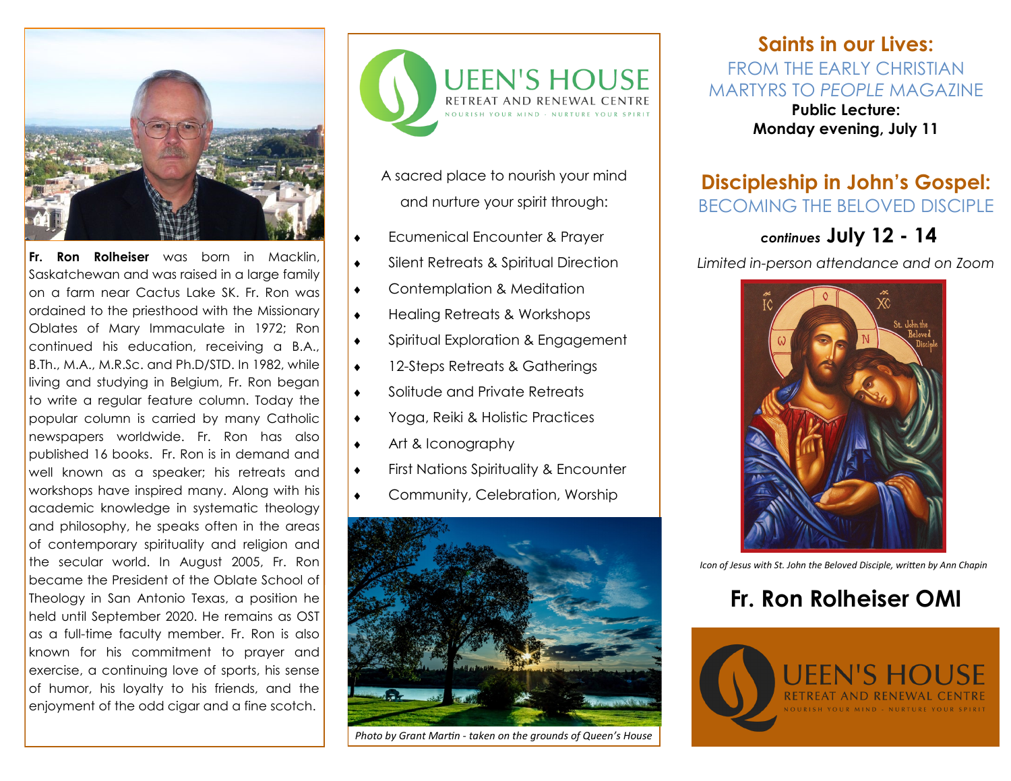

**Fr. Ron Rolheiser** was born in Macklin, Saskatchewan and was raised in a large family on a farm near Cactus Lake SK. Fr. Ron was ordained to the priesthood with the Missionary Oblates of Mary Immaculate in 1972; Ron continued his education, receiving a B.A., B.Th., M.A., M.R.Sc. and Ph.D/STD. In 1982, while living and studying in Belgium, Fr. Ron began to write a regular feature column. Today the popular column is carried by many Catholic newspapers worldwide. Fr. Ron has also published 16 books. Fr. Ron is in demand and well known as a speaker; his retreats and workshops have inspired many. Along with his academic knowledge in systematic theology and philosophy, he speaks often in the areas of contemporary spirituality and religion and the secular world. In August 2005, Fr. Ron became the President of the Oblate School of Theology in San Antonio Texas, a position he held until September 2020. He remains as OST as a full-time faculty member. Fr. Ron is also known for his commitment to prayer and exercise, a continuing love of sports, his sense of humor, his loyalty to his friends, and the enjoyment of the odd cigar and a fine scotch.



A sacred place to nourish your mind and nurture your spirit through:

- Ecumenical Encounter & Prayer
- **Silent Retreats & Spiritual Direction**
- Contemplation & Meditation
- Healing Retreats & Workshops
- ◆ Spiritual Exploration & Engagement
- ◆ 12-Steps Retreats & Gatherings
- ◆ Solitude and Private Retreats
- Yoga, Reiki & Holistic Practices
- Art & Iconography
- **First Nations Spirituality & Encounter**
- Community, Celebration, Worship



*Photo by Grant Martin - taken on the grounds of Queen's House*

# **Saints in our Lives:**  FROM THE EARLY CHRISTIAN MARTYRS TO *PEOPLE* MAGAZINE

**Public Lecture: Monday evening, July 11**

# **Discipleship in John's Gospel:**  BECOMING THE BELOVED DISCIPLE

# *continues* **July 12 - 14**

*Limited in-person attendance and on Zoom*



*Icon of Jesus with St. John the Beloved Disciple, written by Ann Chapin* 

# **Fr. Ron Rolheiser OMI**